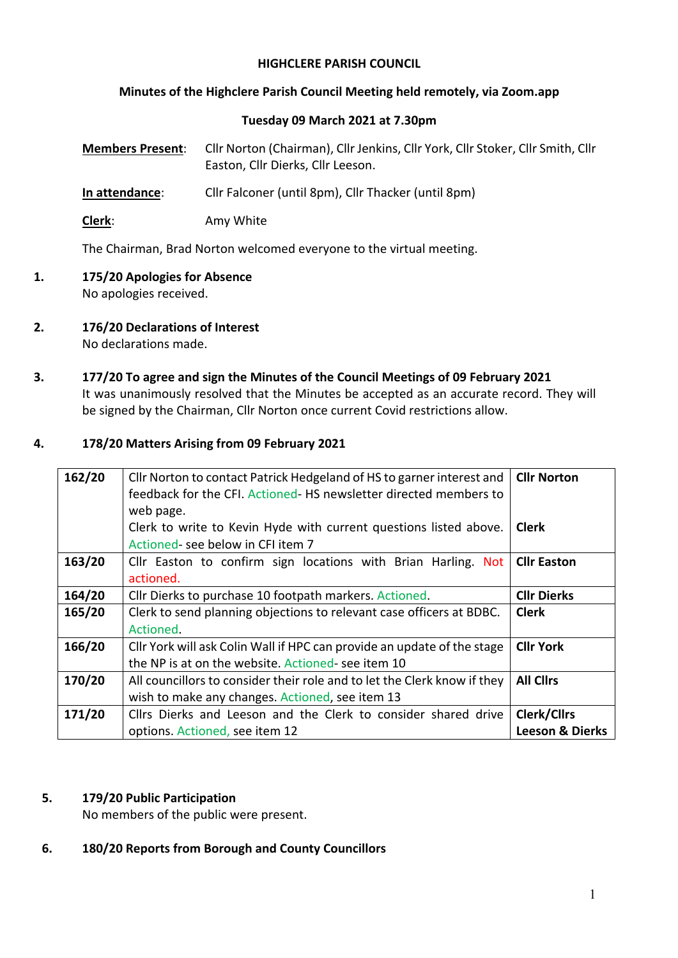## **HIGHCLERE PARISH COUNCIL**

## **Minutes of the Highclere Parish Council Meeting held remotely, via Zoom.app**

#### **Tuesday 09 March 2021 at 7.30pm**

| <b>Members Present:</b> | Cllr Norton (Chairman), Cllr Jenkins, Cllr York, Cllr Stoker, Cllr Smith, Cllr |
|-------------------------|--------------------------------------------------------------------------------|
|                         | Easton, Cllr Dierks, Cllr Leeson.                                              |

**In attendance**: Cllr Falconer (until 8pm), Cllr Thacker (until 8pm)

**Clerk**: Amy White

The Chairman, Brad Norton welcomed everyone to the virtual meeting.

- **1. 175/20 Apologies for Absence** No apologies received.
- **2. 176/20 Declarations of Interest**  No declarations made.
- **3. 177/20 To agree and sign the Minutes of the Council Meetings of 09 February 2021** It was unanimously resolved that the Minutes be accepted as an accurate record. They will be signed by the Chairman, Cllr Norton once current Covid restrictions allow.

## **4. 178/20 Matters Arising from 09 February 2021**

| 162/20 | Cllr Norton to contact Patrick Hedgeland of HS to garner interest and<br>feedback for the CFI. Actioned-HS newsletter directed members to | <b>Cllr Norton</b>         |
|--------|-------------------------------------------------------------------------------------------------------------------------------------------|----------------------------|
|        | web page.<br>Clerk to write to Kevin Hyde with current questions listed above.<br>Actioned-see below in CFI item 7                        | <b>Clerk</b>               |
| 163/20 | Cllr Easton to confirm sign locations with Brian Harling. Not<br>actioned.                                                                | <b>Cllr Easton</b>         |
| 164/20 | Cllr Dierks to purchase 10 footpath markers. Actioned.                                                                                    | <b>Cllr Dierks</b>         |
| 165/20 | Clerk to send planning objections to relevant case officers at BDBC.<br>Actioned.                                                         | <b>Clerk</b>               |
| 166/20 | Cllr York will ask Colin Wall if HPC can provide an update of the stage<br>the NP is at on the website. Actioned-see item 10              | <b>Cllr York</b>           |
| 170/20 | All councillors to consider their role and to let the Clerk know if they<br>wish to make any changes. Actioned, see item 13               | <b>All Clirs</b>           |
| 171/20 | Cllrs Dierks and Leeson and the Clerk to consider shared drive                                                                            | <b>Clerk/Cllrs</b>         |
|        | options. Actioned, see item 12                                                                                                            | <b>Leeson &amp; Dierks</b> |

#### **5. 179/20 Public Participation**

No members of the public were present.

**6. 180/20 Reports from Borough and County Councillors**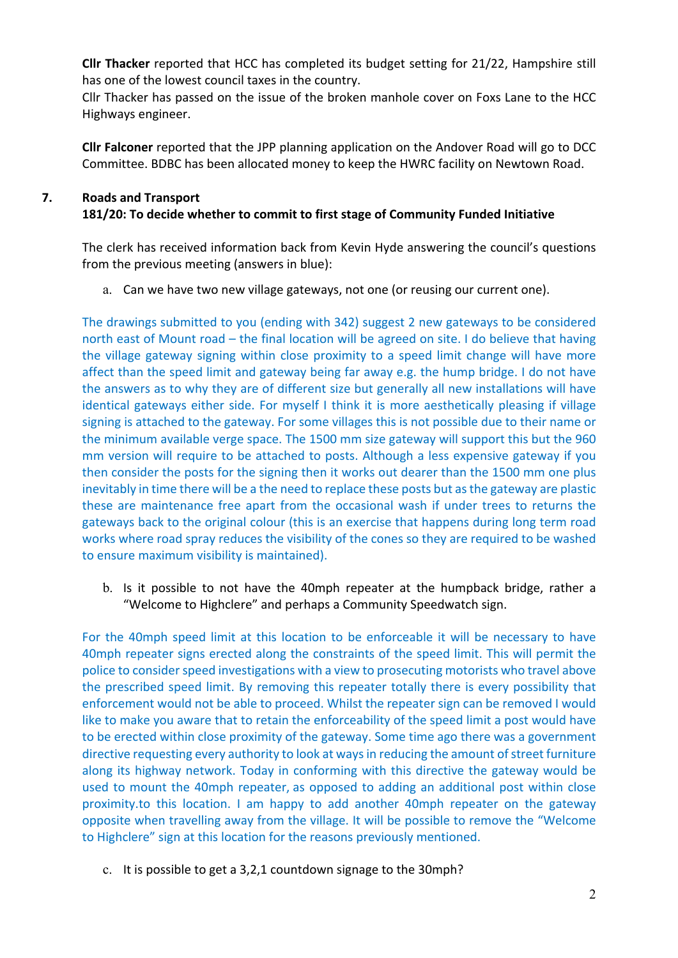**Cllr Thacker** reported that HCC has completed its budget setting for 21/22, Hampshire still has one of the lowest council taxes in the country.

Cllr Thacker has passed on the issue of the broken manhole cover on Foxs Lane to the HCC Highways engineer.

**Cllr Falconer** reported that the JPP planning application on the Andover Road will go to DCC Committee. BDBC has been allocated money to keep the HWRC facility on Newtown Road.

# **7. Roads and Transport 181/20: To decide whether to commit to first stage of Community Funded Initiative**

The clerk has received information back from Kevin Hyde answering the council's questions from the previous meeting (answers in blue):

a. Can we have two new village gateways, not one (or reusing our current one).

The drawings submitted to you (ending with 342) suggest 2 new gateways to be considered north east of Mount road – the final location will be agreed on site. I do believe that having the village gateway signing within close proximity to a speed limit change will have more affect than the speed limit and gateway being far away e.g. the hump bridge. I do not have the answers as to why they are of different size but generally all new installations will have identical gateways either side. For myself I think it is more aesthetically pleasing if village signing is attached to the gateway. For some villages this is not possible due to their name or the minimum available verge space. The 1500 mm size gateway will support this but the 960 mm version will require to be attached to posts. Although a less expensive gateway if you then consider the posts for the signing then it works out dearer than the 1500 mm one plus inevitably in time there will be a the need to replace these posts but as the gateway are plastic these are maintenance free apart from the occasional wash if under trees to returns the gateways back to the original colour (this is an exercise that happens during long term road works where road spray reduces the visibility of the cones so they are required to be washed to ensure maximum visibility is maintained).

b. Is it possible to not have the 40mph repeater at the humpback bridge, rather a "Welcome to Highclere" and perhaps a Community Speedwatch sign.

For the 40mph speed limit at this location to be enforceable it will be necessary to have 40mph repeater signs erected along the constraints of the speed limit. This will permit the police to consider speed investigations with a view to prosecuting motorists who travel above the prescribed speed limit. By removing this repeater totally there is every possibility that enforcement would not be able to proceed. Whilst the repeater sign can be removed I would like to make you aware that to retain the enforceability of the speed limit a post would have to be erected within close proximity of the gateway. Some time ago there was a government directive requesting every authority to look at ways in reducing the amount of street furniture along its highway network. Today in conforming with this directive the gateway would be used to mount the 40mph repeater, as opposed to adding an additional post within close proximity.to this location. I am happy to add another 40mph repeater on the gateway opposite when travelling away from the village. It will be possible to remove the "Welcome to Highclere" sign at this location for the reasons previously mentioned.

c. It is possible to get a 3,2,1 countdown signage to the 30mph?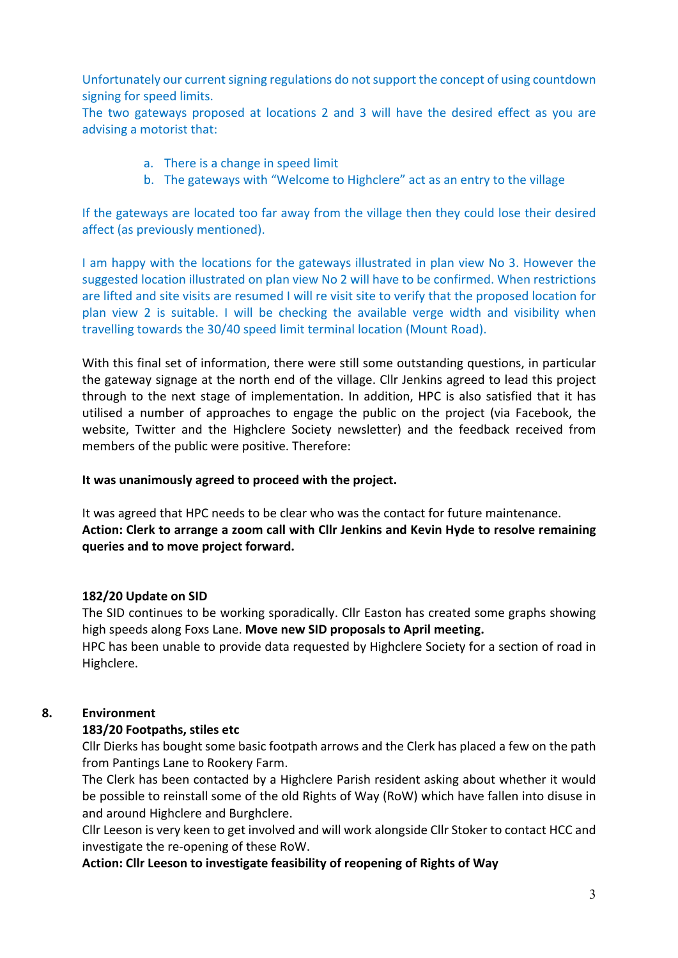Unfortunately our current signing regulations do not support the concept of using countdown signing for speed limits.

The two gateways proposed at locations 2 and 3 will have the desired effect as you are advising a motorist that:

- a. There is a change in speed limit
- b. The gateways with "Welcome to Highclere" act as an entry to the village

If the gateways are located too far away from the village then they could lose their desired affect (as previously mentioned).

I am happy with the locations for the gateways illustrated in plan view No 3. However the suggested location illustrated on plan view No 2 will have to be confirmed. When restrictions are lifted and site visits are resumed I will re visit site to verify that the proposed location for plan view 2 is suitable. I will be checking the available verge width and visibility when travelling towards the 30/40 speed limit terminal location (Mount Road).

With this final set of information, there were still some outstanding questions, in particular the gateway signage at the north end of the village. Cllr Jenkins agreed to lead this project through to the next stage of implementation. In addition, HPC is also satisfied that it has utilised a number of approaches to engage the public on the project (via Facebook, the website, Twitter and the Highclere Society newsletter) and the feedback received from members of the public were positive. Therefore:

#### **It was unanimously agreed to proceed with the project.**

It was agreed that HPC needs to be clear who was the contact for future maintenance. **Action: Clerk to arrange a zoom call with Cllr Jenkins and Kevin Hyde to resolve remaining queries and to move project forward.** 

## **182/20 Update on SID**

The SID continues to be working sporadically. Cllr Easton has created some graphs showing high speeds along Foxs Lane. **Move new SID proposals to April meeting.**

HPC has been unable to provide data requested by Highclere Society for a section of road in Highclere.

## **8. Environment**

## **183/20 Footpaths, stiles etc**

Cllr Dierks has bought some basic footpath arrows and the Clerk has placed a few on the path from Pantings Lane to Rookery Farm.

The Clerk has been contacted by a Highclere Parish resident asking about whether it would be possible to reinstall some of the old Rights of Way (RoW) which have fallen into disuse in and around Highclere and Burghclere.

Cllr Leeson is very keen to get involved and will work alongside Cllr Stoker to contact HCC and investigate the re-opening of these RoW.

**Action: Cllr Leeson to investigate feasibility of reopening of Rights of Way**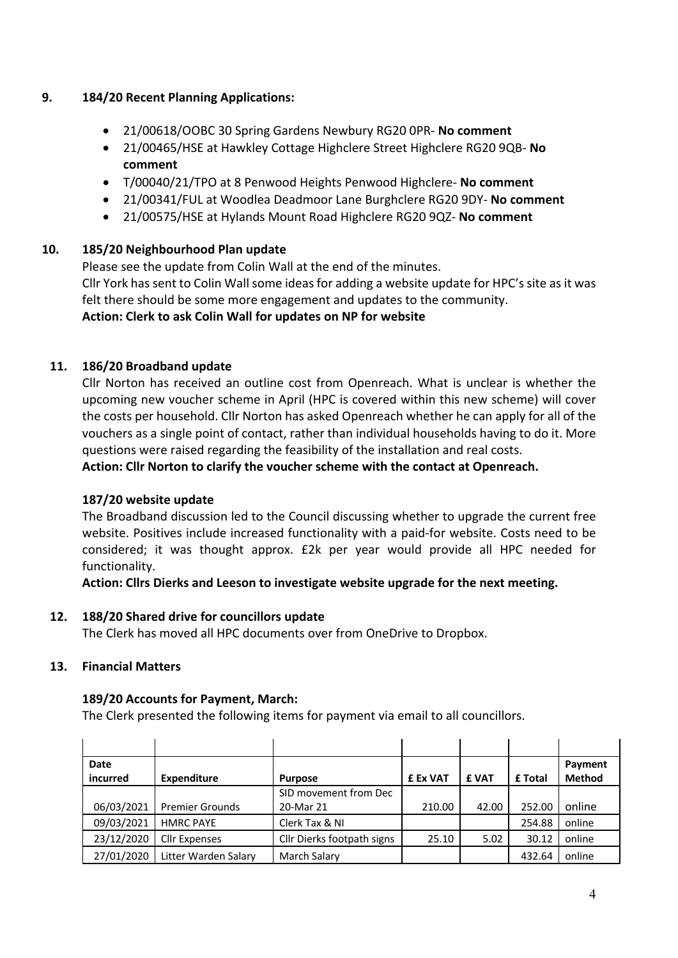## **9. 184/20 Recent Planning Applications:**

- 21/00618/OOBC 30 Spring Gardens Newbury RG20 0PR- **No comment**
- 21/00465/HSE at Hawkley Cottage Highclere Street Highclere RG20 9QB- **No comment**
- T/00040/21/TPO at 8 Penwood Heights Penwood Highclere- **No comment**
- 21/00341/FUL at Woodlea Deadmoor Lane Burghclere RG20 9DY- **No comment**
- 21/00575/HSE at Hylands Mount Road Highclere RG20 9QZ- **No comment**

## **10. 185/20 Neighbourhood Plan update**

Please see the update from Colin Wall at the end of the minutes.

Cllr York has sent to Colin Wall some ideas for adding a website update for HPC's site as it was felt there should be some more engagement and updates to the community. **Action: Clerk to ask Colin Wall for updates on NP for website**

## **11. 186/20 Broadband update**

Cllr Norton has received an outline cost from Openreach. What is unclear is whether the upcoming new voucher scheme in April (HPC is covered within this new scheme) will cover the costs per household. Cllr Norton has asked Openreach whether he can apply for all of the vouchers as a single point of contact, rather than individual households having to do it. More questions were raised regarding the feasibility of the installation and real costs.

**Action: Cllr Norton to clarify the voucher scheme with the contact at Openreach.**

#### **187/20 website update**

The Broadband discussion led to the Council discussing whether to upgrade the current free website. Positives include increased functionality with a paid-for website. Costs need to be considered; it was thought approx. £2k per year would provide all HPC needed for functionality.

**Action: Cllrs Dierks and Leeson to investigate website upgrade for the next meeting.** 

## **12. 188/20 Shared drive for councillors update**

The Clerk has moved all HPC documents over from OneDrive to Dropbox.

#### **13. Financial Matters**

#### **189/20 Accounts for Payment, March:**

The Clerk presented the following items for payment via email to all councillors.

| <b>Date</b> |                        |                            |          |             |         | Payment       |
|-------------|------------------------|----------------------------|----------|-------------|---------|---------------|
| incurred    | <b>Expenditure</b>     | <b>Purpose</b>             | £ Ex VAT | <b>£VAT</b> | £ Total | <b>Method</b> |
|             |                        | SID movement from Dec      |          |             |         |               |
| 06/03/2021  | <b>Premier Grounds</b> | 20-Mar 21                  | 210.00   | 42.00       | 252.00  | online        |
| 09/03/2021  | <b>HMRC PAYE</b>       | Clerk Tax & NI             |          |             | 254.88  | online        |
| 23/12/2020  | Cllr Expenses          | Cllr Dierks footpath signs | 25.10    | 5.02        | 30.12   | online        |
| 27/01/2020  | Litter Warden Salary   | March Salary               |          |             | 432.64  | online        |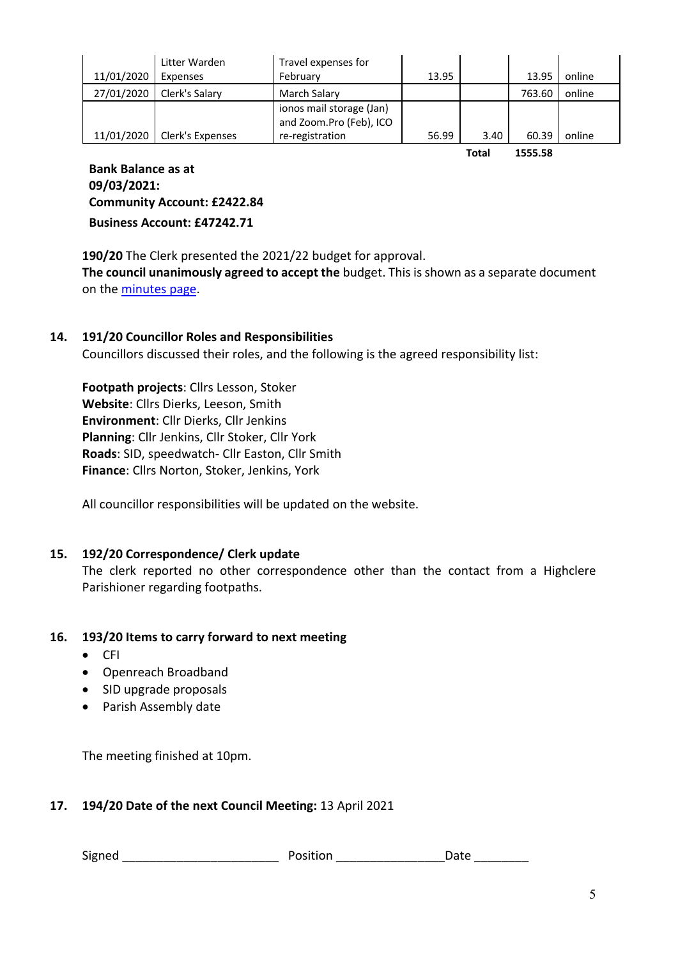|            | Litter Warden    | Travel expenses for                                 |       |       |        |        |
|------------|------------------|-----------------------------------------------------|-------|-------|--------|--------|
| 11/01/2020 | Expenses         | February                                            | 13.95 |       | 13.95  | online |
| 27/01/2020 | Clerk's Salary   | <b>March Salary</b>                                 |       |       | 763.60 | online |
|            |                  | ionos mail storage (Jan)<br>and Zoom.Pro (Feb), ICO |       |       |        |        |
| 11/01/2020 | Clerk's Expenses | re-registration                                     | 56.99 | 3.40  | 60.39  | online |
|            |                  |                                                     |       | - - - |        |        |

**Total 1555.58**

**Bank Balance as at 09/03/2021: Community Account: £2422.84 Business Account: £47242.71**

**190/20** The Clerk presented the 2021/22 budget for approval. **The council unanimously agreed to accept the** budget. This is shown as a separate document on the minutes page.

## **14. 191/20 Councillor Roles and Responsibilities**

Councillors discussed their roles, and the following is the agreed responsibility list:

**Footpath projects**: Cllrs Lesson, Stoker **Website**: Cllrs Dierks, Leeson, Smith **Environment**: Cllr Dierks, Cllr Jenkins **Planning**: Cllr Jenkins, Cllr Stoker, Cllr York **Roads**: SID, speedwatch- Cllr Easton, Cllr Smith **Finance**: Cllrs Norton, Stoker, Jenkins, York

All councillor responsibilities will be updated on the website.

#### **15. 192/20 Correspondence/ Clerk update**

The clerk reported no other correspondence other than the contact from a Highclere Parishioner regarding footpaths.

#### **16. 193/20 Items to carry forward to next meeting**

- CFI
- Openreach Broadband
- SID upgrade proposals
- Parish Assembly date

The meeting finished at 10pm.

#### **17. 194/20 Date of the next Council Meeting:** 13 April 2021

Signed **Signed Signed Container Position Container Position Container Position Container Position**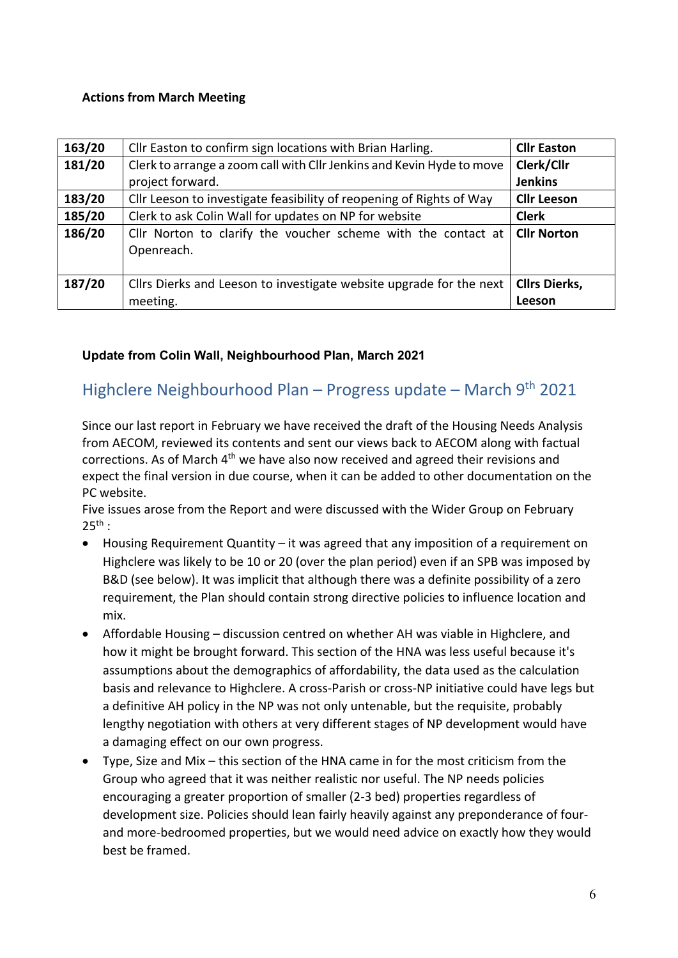## **Actions from March Meeting**

| 163/20 | Cllr Easton to confirm sign locations with Brian Harling.             | <b>Cllr Easton</b>   |
|--------|-----------------------------------------------------------------------|----------------------|
| 181/20 | Clerk to arrange a zoom call with Cllr Jenkins and Kevin Hyde to move | Clerk/Cllr           |
|        | project forward.                                                      | <b>Jenkins</b>       |
| 183/20 | Cllr Leeson to investigate feasibility of reopening of Rights of Way  | <b>Cllr Leeson</b>   |
| 185/20 | Clerk to ask Colin Wall for updates on NP for website                 | <b>Clerk</b>         |
| 186/20 | Cllr Norton to clarify the voucher scheme with the contact at         | <b>Cllr Norton</b>   |
|        | Openreach.                                                            |                      |
|        |                                                                       |                      |
| 187/20 | Cllrs Dierks and Leeson to investigate website upgrade for the next   | <b>Cllrs Dierks,</b> |
|        | meeting.                                                              | Leeson               |

## **Update from Colin Wall, Neighbourhood Plan, March 2021**

# Highclere Neighbourhood Plan - Progress update - March 9<sup>th</sup> 2021

Since our last report in February we have received the draft of the Housing Needs Analysis from AECOM, reviewed its contents and sent our views back to AECOM along with factual corrections. As of March  $4<sup>th</sup>$  we have also now received and agreed their revisions and expect the final version in due course, when it can be added to other documentation on the PC website.

Five issues arose from the Report and were discussed with the Wider Group on February  $25^{th}$  :

- Housing Requirement Quantity it was agreed that any imposition of a requirement on Highclere was likely to be 10 or 20 (over the plan period) even if an SPB was imposed by B&D (see below). It was implicit that although there was a definite possibility of a zero requirement, the Plan should contain strong directive policies to influence location and mix.
- Affordable Housing discussion centred on whether AH was viable in Highclere, and how it might be brought forward. This section of the HNA was less useful because it's assumptions about the demographics of affordability, the data used as the calculation basis and relevance to Highclere. A cross-Parish or cross-NP initiative could have legs but a definitive AH policy in the NP was not only untenable, but the requisite, probably lengthy negotiation with others at very different stages of NP development would have a damaging effect on our own progress.
- Type, Size and Mix this section of the HNA came in for the most criticism from the Group who agreed that it was neither realistic nor useful. The NP needs policies encouraging a greater proportion of smaller (2-3 bed) properties regardless of development size. Policies should lean fairly heavily against any preponderance of fourand more-bedroomed properties, but we would need advice on exactly how they would best be framed.